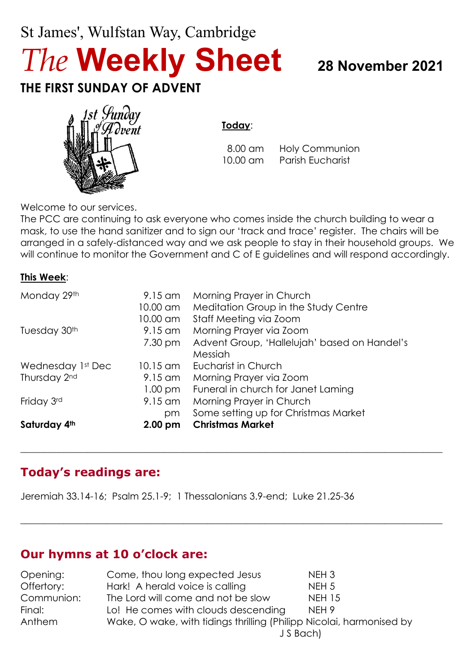# St James', Wulfstan Way, Cambridge *The* **Weekly Sheet <sup>28</sup> November <sup>2021</sup>**

# **THE FIRST SUNDAY OF ADVENT**



#### **Today**:

 8.00 am Holy Communion 10.00 am Parish Eucharist

Welcome to our services.

The PCC are continuing to ask everyone who comes inside the church building to wear a mask, to use the hand sanitizer and to sign our 'track and trace' register. The chairs will be arranged in a safely-distanced way and we ask people to stay in their household groups. We will continue to monitor the Government and C of E guidelines and will respond accordingly.

#### **This Week**:

| Monday 29th       | 9.15 am           | Morning Prayer in Church                     |
|-------------------|-------------------|----------------------------------------------|
|                   | 10.00 am          | Meditation Group in the Study Centre         |
|                   | 10.00 am          | Staff Meeting via Zoom                       |
| Tuesday 30th      | 9.15 am           | Morning Prayer via Zoom                      |
|                   | 7.30 pm           | Advent Group, 'Hallelujah' based on Handel's |
|                   |                   | Messiah                                      |
| Wednesday 1st Dec | 10.15 am          | Eucharist in Church                          |
| Thursday 2nd      | 9.15 am           | Morning Prayer via Zoom                      |
|                   | $1.00 \text{ pm}$ | Funeral in church for Janet Laming           |
| Friday 3rd        | 9.15 am           | Morning Prayer in Church                     |
|                   | pm                | Some setting up for Christmas Market         |
| Saturday 4th      | $2.00$ pm         | <b>Christmas Market</b>                      |

 $\_$  , and the set of the set of the set of the set of the set of the set of the set of the set of the set of the set of the set of the set of the set of the set of the set of the set of the set of the set of the set of th

 $\_$  , and the set of the set of the set of the set of the set of the set of the set of the set of the set of the set of the set of the set of the set of the set of the set of the set of the set of the set of the set of th

# **Today's readings are:**

Jeremiah 33.14-16; Psalm 25.1-9; 1 Thessalonians 3.9-end; Luke 21.25-36

# **Our hymns at 10 o'clock are:**

| Opening:   | Come, thou long expected Jesus                                       | NEH <sub>3</sub> |
|------------|----------------------------------------------------------------------|------------------|
| Offertory: | Hark! A herald voice is calling                                      | NEH <sub>5</sub> |
| Communion: | The Lord will come and not be slow                                   | <b>NEH 15</b>    |
| Final:     | Lo! He comes with clouds descending                                  | NEH <sub>9</sub> |
| Anthem     | Wake, O wake, with tidings thrilling (Philipp Nicolai, harmonised by |                  |
|            |                                                                      | J S Bach)        |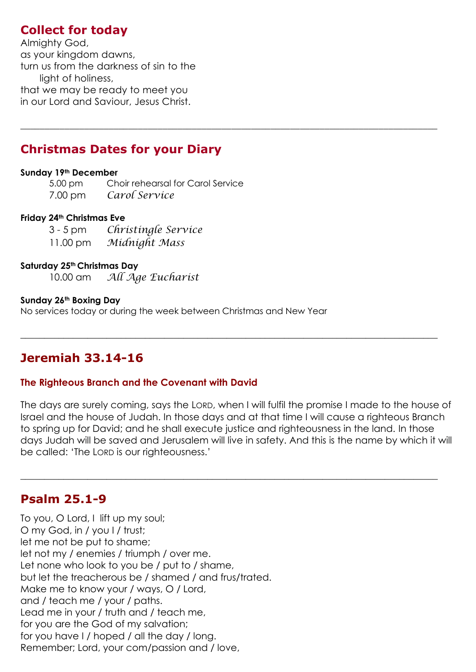### **Collect for today**

Almighty God, as your kingdom dawns, turn us from the darkness of sin to the light of holiness, that we may be ready to meet you in our Lord and Saviour, Jesus Christ.

# **Christmas Dates for your Diary**

#### **Sunday 19th December**

5.00 pm Choir rehearsal for Carol Service 7.00 pm *Carol Service* 

#### **Friday 24th Christmas Eve**

3 - 5 pm *Christingle Service*  11.00 pm *Midnight Mass*

#### **Saturday 25th Christmas Day**

10.00 am *All Age Eucharist* 

#### **Sunday 26th Boxing Day**

No services today or during the week between Christmas and New Year

# **Jeremiah 33.14-16**

#### **The Righteous Branch and the Covenant with David**

The days are surely coming, says the LORD, when I will fulfil the promise I made to the house of Israel and the house of Judah. In those days and at that time I will cause a righteous Branch to spring up for David; and he shall execute justice and righteousness in the land. In those days Judah will be saved and Jerusalem will live in safety. And this is the name by which it will be called: 'The LORD is our righteousness.'

 $\_$  , and the set of the set of the set of the set of the set of the set of the set of the set of the set of the set of the set of the set of the set of the set of the set of the set of the set of the set of the set of th

 $\_$  , and the set of the set of the set of the set of the set of the set of the set of the set of the set of the set of the set of the set of the set of the set of the set of the set of the set of the set of the set of th

\_\_\_\_\_\_\_\_\_\_\_\_\_\_\_\_\_\_\_\_\_\_\_\_\_\_\_\_\_\_\_\_\_\_\_\_\_\_\_\_\_\_\_\_\_\_\_\_\_\_\_\_\_\_\_\_\_\_\_\_\_\_\_\_\_\_\_\_\_\_\_\_\_\_\_\_\_\_\_\_\_\_\_\_\_

#### **Psalm 25.1-9**

To you, O Lord, I lift up my soul; O my God, in / you I / trust; let me not be put to shame; let not my / enemies / triumph / over me. Let none who look to you be / put to / shame, but let the treacherous be / shamed / and frus/trated. Make me to know your / ways, O / Lord, and / teach me / your / paths. Lead me in your / truth and / teach me, for you are the God of my salvation; for you have I / hoped / all the day / long. Remember; Lord, your com/passion and / love,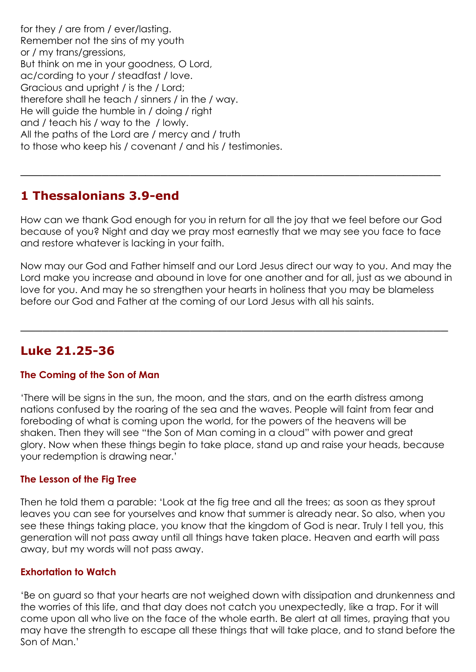for they / are from / ever/lasting. Remember not the sins of my youth or / my trans/gressions, But think on me in your goodness, O Lord, ac/cording to your / steadfast / love. Gracious and upright / is the / Lord; therefore shall he teach / sinners / in the / way. He will guide the humble in / doing / right and / teach his / way to the / lowly. All the paths of the Lord are / mercy and / truth to those who keep his / covenant / and his / testimonies.

# **1 Thessalonians 3.9-end**

How can we thank God enough for you in return for all the joy that we feel before our God because of you? Night and day we pray most earnestly that we may see you face to face and restore whatever is lacking in your faith.

\_\_\_\_\_\_\_\_\_\_\_\_\_\_\_\_\_\_\_\_\_\_\_\_\_\_\_\_\_\_\_\_\_\_\_\_\_\_\_\_\_\_\_\_\_\_\_\_\_\_\_\_\_\_\_\_\_

Now may our God and Father himself and our Lord Jesus direct our way to you. And may the Lord make you increase and abound in love for one another and for all, just as we abound in love for you. And may he so strengthen your hearts in holiness that you may be blameless before our God and Father at the coming of our Lord Jesus with all his saints.

\_\_\_\_\_\_\_\_\_\_\_\_\_\_\_\_\_\_\_\_\_\_\_\_\_\_\_\_\_\_\_\_\_\_\_\_\_\_\_\_\_\_\_\_\_\_\_\_\_\_\_\_\_\_\_\_\_\_

# **Luke 21.25-36**

#### **The Coming of the Son of Man**

'There will be signs in the sun, the moon, and the stars, and on the earth distress among nations confused by the roaring of the sea and the waves. People will faint from fear and foreboding of what is coming upon the world, for the powers of the heavens will be shaken. Then they will see "the Son of Man coming in a cloud" with power and great glory. Now when these things begin to take place, stand up and raise your heads, because your redemption is drawing near.'

#### **The Lesson of the Fig Tree**

Then he told them a parable: 'Look at the fig tree and all the trees; as soon as they sprout leaves you can see for yourselves and know that summer is already near. So also, when you see these things taking place, you know that the kingdom of God is near. Truly I tell you, this generation will not pass away until all things have taken place. Heaven and earth will pass away, but my words will not pass away.

#### **Exhortation to Watch**

'Be on guard so that your hearts are not weighed down with dissipation and drunkenness and the worries of this life, and that day does not catch you unexpectedly, like a trap. For it will come upon all who live on the face of the whole earth. Be alert at all times, praying that you may have the strength to escape all these things that will take place, and to stand before the Son of Man.'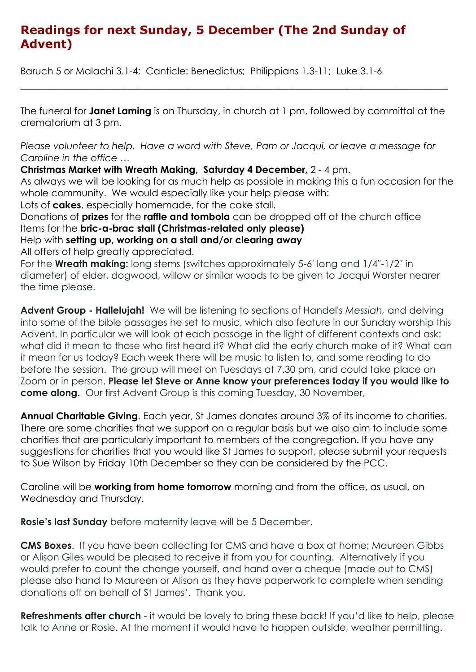# **Readings for next Sunday, 5 December (The 2nd Sunday of Advent)**

Baruch 5 or Malachi 3.1-4; Canticle: Benedictus; Philippians 1.3-11; Luke 3.1-6

The funeral for **Janet Laming** is on Thursday, in church at 1 pm, followed by committal at the crematorium at 3 pm.

\_\_\_\_\_\_\_\_\_\_\_\_\_\_\_\_\_\_\_\_\_\_\_\_\_\_\_\_\_\_\_\_\_\_\_\_\_\_\_\_\_\_\_\_\_\_\_\_\_\_\_\_\_\_\_\_\_\_

*Please volunteer to help. Have a word with Steve, Pam or Jacqui, or leave a message for Caroline in the office …*

**Christmas Market with Wreath Making, Saturday 4 December,** 2 - 4 pm.

As always we will be looking for as much help as possible in making this a fun occasion for the whole community. We would especially like your help please with:

Lots of **cakes**, especially homemade, for the cake stall.

Donations of **prizes** for the **raffle and tombola** can be dropped off at the church office Items for the **bric-a-brac stall (Christmas-related only please)**

Help with **setting up, working on a stall and/or clearing away**

All offers of help greatly appreciated.

For the **Wreath making:** long stems (switches approximately 5-6′ long and 1/4″-1/2″ in diameter) of elder, dogwood, willow or similar woods to be given to Jacqui Worster nearer the time please.

**Advent Group - Hallelujah!** We will be listening to sections of Handel's *Messiah,* and delving into some of the bible passages he set to music, which also feature in our Sunday worship this Advent. In particular we will look at each passage in the light of different contexts and ask: what did it mean to those who first heard it? What did the early church make of it? What can it mean for us today? Each week there will be music to listen to, and some reading to do before the session. The group will meet on Tuesdays at 7.30 pm, and could take place on Zoom or in person. **Please let Steve or Anne know your preferences today if you would like to come along.** Our first Advent Group is this coming Tuesday, 30 November,

**Annual Charitable Giving**. Each year, St James donates around 3% of its income to charities. There are some charities that we support on a regular basis but we also aim to include some charities that are particularly important to members of the congregation. If you have any suggestions for charities that you would like St James to support, please submit your requests to Sue Wilson by Friday 10th December so they can be considered by the PCC.

Caroline will be **working from home tomorrow** morning and from the office, as usual, on Wednesday and Thursday.

**Rosie's last Sunday** before maternity leave will be 5 December.

**CMS Boxes**. If you have been collecting for CMS and have a box at home; Maureen Gibbs or Alison Giles would be pleased to receive it from you for counting. Alternatively if you would prefer to count the change yourself, and hand over a cheque (made out to CMS) please also hand to Maureen or Alison as they have paperwork to complete when sending donations off on behalf of St James'. Thank you.

**Refreshments after church** - it would be lovely to bring these back! If you'd like to help, please talk to Anne or Rosie. At the moment it would have to happen outside, weather permitting.